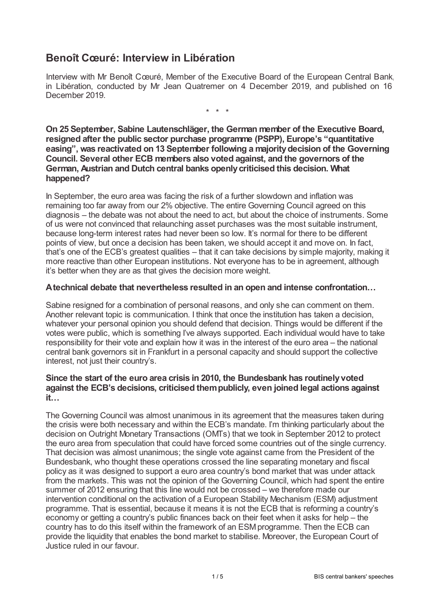# **Benoît Cœuré: Interview in Libération**

Interview with Mr Benoît Cœuré, Member of the Executive Board of the European Central Bank, in Libération, conducted by Mr Jean Quatremer on 4 December 2019, and published on 16 December 2019.

\* \* \*

**On 25 September, Sabine Lautenschläger, the German member of the Executive Board, resigned after the public sector purchase programme (PSPP), Europe's "quantitative easing", was reactivated on 13 September following a majoritydecision of the Governing Council. Several other ECB members also voted against, and the governors of the German, Austrian and Dutch central banks openlycriticised this decision. What happened?**

In September, the euro area was facing the risk of a further slowdown and inflation was remaining too far away from our 2% objective. The entire Governing Council agreed on this diagnosis – the debate was not about the need to act, but about the choice of instruments. Some of us were not convinced that relaunching asset purchases was the most suitable instrument, because long-term interest rates had never been so low. It's normal for there to be different points of view, but once a decision has been taken, we should accept it and move on. In fact, that's one of the ECB's greatest qualities – that it can take decisions by simple majority, making it more reactive than other European institutions. Not everyone has to be in agreement, although it's better when they are as that gives the decision more weight.

### **Atechnical debate that nevertheless resulted in an open and intense confrontation…**

Sabine resigned for a combination of personal reasons, and only she can comment on them. Another relevant topic is communication. I think that once the institution has taken a decision, whatever your personal opinion you should defend that decision. Things would be different if the votes were public, which is something I've always supported. Each individual would have to take responsibility for their vote and explain how it was in the interest of the euro area – the national central bank governors sit in Frankfurt in a personal capacity and should support the collective interest, not just their country's.

## **Since the start of the euro area crisis in 2010, the Bundesbank has routinelyvoted against the ECB's decisions, criticised thempublicly, even joined legal actions against it…**

The Governing Council was almost unanimous in its agreement that the measures taken during the crisis were both necessary and within the ECB's mandate. I'm thinking particularly about the decision on Outright Monetary Transactions (OMTs) that we took in September 2012 to protect the euro area from speculation that could have forced some countries out of the single currency. That decision was almost unanimous; the single vote against came from the President of the Bundesbank, who thought these operations crossed the line separating monetary and fiscal policy as it was designed to support a euro area country's bond market that was under attack from the markets. This was not the opinion of the Governing Council, which had spent the entire summer of 2012 ensuring that this line would not be crossed – we therefore made our intervention conditional on the activation of a European Stability Mechanism (ESM) adjustment programme. That is essential, because it means it is not the ECB that is reforming a country's economy or getting a country's public finances back on their feet when it asks for help – the country has to do this itself within the framework of an ESMprogramme. Then the ECB can provide the liquidity that enables the bond market to stabilise. Moreover, the European Court of Justice ruled in our favour.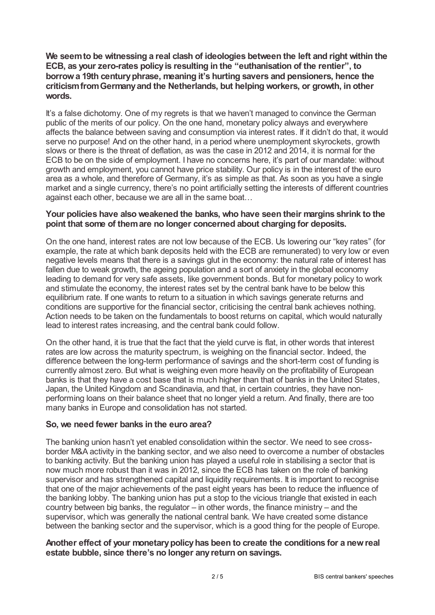**We seemto be witnessing a real clash of ideologies between the left and right within the ECB, as your zero-rates policyis resulting in the "euthanisation of the rentier", to borrowa 19th centuryphrase, meaning it's hurting savers and pensioners, hence the criticismfromGermanyand the Netherlands, but helping workers, or growth, in other words.**

It's a false dichotomy. One of my regrets is that we haven't managed to convince the German public of the merits of our policy. On the one hand, monetary policy always and everywhere affects the balance between saving and consumption via interest rates. If it didn't do that, it would serve no purpose! And on the other hand, in a period where unemployment skyrockets, growth slows or there is the threat of deflation, as was the case in 2012 and 2014, it is normal for the ECB to be on the side of employment. I have no concerns here, it's part of our mandate: without growth and employment, you cannot have price stability. Our policy is in the interest of the euro area as a whole, and therefore of Germany, it's as simple as that. As soon as you have a single market and a single currency, there's no point artificially setting the interests of different countries against each other, because we are all in the same boat…

#### **Your policies have also weakened the banks, who have seen their margins shrink to the point that some of themare no longer concerned about charging for deposits.**

On the one hand, interest rates are not low because of the ECB. Us lowering our "key rates" (for example, the rate at which bank deposits held with the ECB are remunerated) to very low or even negative levels means that there is a savings glut in the economy: the natural rate of interest has fallen due to weak growth, the ageing population and a sort of anxiety in the global economy leading to demand for very safe assets, like government bonds. But for monetary policy to work and stimulate the economy, the interest rates set by the central bank have to be below this equilibrium rate. If one wants to return to a situation in which savings generate returns and conditions are supportive for the financial sector, criticising the central bank achieves nothing. Action needs to be taken on the fundamentals to boost returns on capital, which would naturally lead to interest rates increasing, and the central bank could follow.

On the other hand, it is true that the fact that the yield curve is flat, in other words that interest rates are low across the maturity spectrum, is weighing on the financial sector. Indeed, the difference between the long-term performance of savings and the short-term cost of funding is currently almost zero. But what is weighing even more heavily on the profitability of European banks is that they have a cost base that is much higher than that of banks in the United States, Japan, the United Kingdom and Scandinavia, and that, in certain countries, they have nonperforming loans on their balance sheet that no longer yield a return. And finally, there are too many banks in Europe and consolidation has not started.

#### **So, we need fewer banks in the euro area?**

The banking union hasn't yet enabled consolidation within the sector. We need to see crossborder M&A activity in the banking sector, and we also need to overcome a number of obstacles to banking activity. But the banking union has played a useful role in stabilising a sector that is now much more robust than it was in 2012, since the ECB has taken on the role of banking supervisor and has strengthened capital and liquidity requirements. It is important to recognise that one of the major achievements of the past eight years has been to reduce the influence of the banking lobby. The banking union has put a stop to the vicious triangle that existed in each country between big banks, the regulator – in other words, the finance ministry – and the supervisor, which was generally the national central bank. We have created some distance between the banking sector and the supervisor, which is a good thing for the people of Europe.

#### **Another effect of your monetarypolicyhas been to create the conditions for a newreal estate bubble, since there's no longer anyreturn on savings.**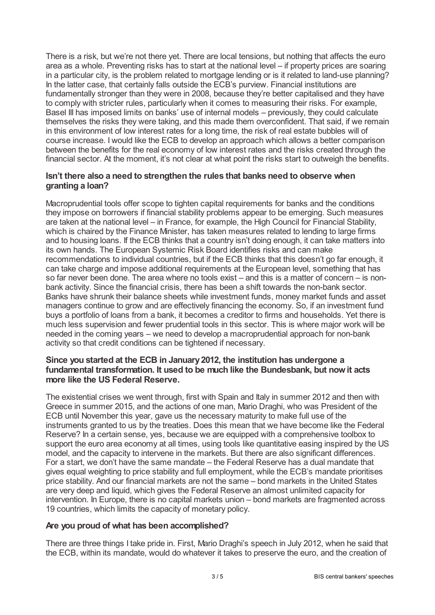There is a risk, but we're not there yet. There are local tensions, but nothing that affects the euro area as a whole. Preventing risks has to start at the national level – if property prices are soaring in a particular city, is the problem related to mortgage lending or is it related to land-use planning? In the latter case, that certainly falls outside the ECB's purview. Financial institutions are fundamentally stronger than they were in 2008, because they're better capitalised and they have to comply with stricter rules, particularly when it comes to measuring their risks. For example, Basel III has imposed limits on banks' use of internal models – previously, they could calculate themselves the risks they were taking, and this made them overconfident. That said, if we remain in this environment of low interest rates for a long time, the risk of real estate bubbles will of course increase. I would like the ECB to develop an approach which allows a better comparison between the benefits for the real economy of low interest rates and the risks created through the financial sector. At the moment, it's not clear at what point the risks start to outweigh the benefits.

### **Isn't there also a need to strengthen the rules that banks need to observe when granting a loan?**

Macroprudential tools offer scope to tighten capital requirements for banks and the conditions they impose on borrowers if financial stability problems appear to be emerging. Such measures are taken at the national level – in France, for example, the High Council for Financial Stability, which is chaired by the Finance Minister, has taken measures related to lending to large firms and to housing loans. If the ECB thinks that a country isn't doing enough, it can take matters into its own hands. The European Systemic Risk Board identifies risks and can make recommendations to individual countries, but if the ECB thinks that this doesn't go far enough, it can take charge and impose additional requirements at the European level, something that has so far never been done. The area where no tools exist – and this is a matter of concern – is nonbank activity. Since the financial crisis, there has been a shift towards the non-bank sector. Banks have shrunk their balance sheets while investment funds, money market funds and asset managers continue to grow and are effectively financing the economy. So, if an investment fund buys a portfolio of loans from a bank, it becomes a creditor to firms and households. Yet there is much less supervision and fewer prudential tools in this sector. This is where major work will be needed in the coming years – we need to develop a macroprudential approach for non-bank activity so that credit conditions can be tightened if necessary.

## **Since you started at the ECB in January2012, the institution has undergone a fundamental transformation. It used to be much like the Bundesbank, but nowit acts more like the US Federal Reserve.**

The existential crises we went through, first with Spain and Italy in summer 2012 and then with Greece in summer 2015, and the actions of one man, Mario Draghi, who was President of the ECB until November this year, gave us the necessary maturity to make full use of the instruments granted to us by the treaties. Does this mean that we have become like the Federal Reserve? In a certain sense, yes, because we are equipped with a comprehensive toolbox to support the euro area economy at all times, using tools like quantitative easing inspired by the US model, and the capacity to intervene in the markets. But there are also significant differences. For a start, we don't have the same mandate – the Federal Reserve has a dual mandate that gives equal weighting to price stability and full employment, while the ECB's mandate prioritises price stability. And our financial markets are not the same – bond markets in the United States are very deep and liquid, which gives the Federal Reserve an almost unlimited capacity for intervention. In Europe, there is no capital markets union – bond markets are fragmented across 19 countries, which limits the capacity of monetary policy.

#### **Are you proud of what has been accomplished?**

There are three things I take pride in. First, Mario Draghi's speech in July 2012, when he said that the ECB, within its mandate, would do whatever it takes to preserve the euro, and the creation of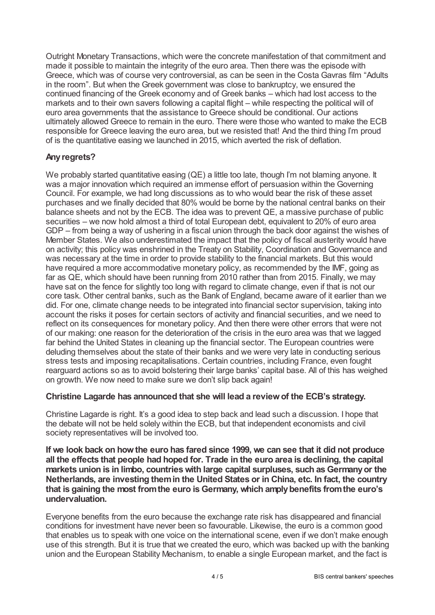Outright Monetary Transactions, which were the concrete manifestation of that commitment and made it possible to maintain the integrity of the euro area. Then there was the episode with Greece, which was of course very controversial, as can be seen in the Costa Gavras film "Adults in the room". But when the Greek government was close to bankruptcy, we ensured the continued financing of the Greek economy and of Greek banks – which had lost access to the markets and to their own savers following a capital flight – while respecting the political will of euro area governments that the assistance to Greece should be conditional. Our actions ultimately allowed Greece to remain in the euro. There were those who wanted to make the ECB responsible for Greece leaving the euro area, but we resisted that! And the third thing I'm proud of is the quantitative easing we launched in 2015, which averted the risk of deflation.

## **Anyregrets?**

We probably started quantitative easing (QE) a little too late, though I'm not blaming anyone. It was a major innovation which required an immense effort of persuasion within the Governing Council. For example, we had long discussions as to who would bear the risk of these asset purchases and we finally decided that 80% would be borne by the national central banks on their balance sheets and not by the ECB. The idea was to prevent QE, a massive purchase of public securities – we now hold almost a third of total European debt, equivalent to 20% of euro area GDP – from being a way of ushering in a fiscal union through the back door against the wishes of Member States. We also underestimated the impact that the policy of fiscal austerity would have on activity; this policy was enshrined in the Treaty on Stability, Coordination and Governance and was necessary at the time in order to provide stability to the financial markets. But this would have required a more accommodative monetary policy, as recommended by the IMF, going as far as QE, which should have been running from 2010 rather than from 2015. Finally, we may have sat on the fence for slightly too long with regard to climate change, even if that is not our core task. Other central banks, such as the Bank of England, became aware of it earlier than we did. For one, climate change needs to be integrated into financial sector supervision, taking into account the risks it poses for certain sectors of activity and financial securities, and we need to reflect on its consequences for monetary policy. And then there were other errors that were not of our making: one reason for the deterioration of the crisis in the euro area was that we lagged far behind the United States in cleaning up the financial sector. The European countries were deluding themselves about the state of their banks and we were very late in conducting serious stress tests and imposing recapitalisations. Certain countries, including France, even fought rearguard actions so as to avoid bolstering their large banks' capital base. All of this has weighed on growth. We now need to make sure we don't slip back again!

## **Christine Lagarde has announced that she will lead a reviewof the ECB's strategy.**

Christine Lagarde is right. It's a good idea to step back and lead such a discussion. I hope that the debate will not be held solely within the ECB, but that independent economists and civil society representatives will be involved too.

**If we look back on howthe euro has fared since 1999, we can see that it did not produce all the effects that people had hoped for. Trade in the euro area is declining, the capital markets union is in limbo, countrieswith large capital surpluses, such asGermanyor the Netherlands, are investing themin the United States or in China, etc. In fact, the country that is gaining the most fromthe euro isGermany, which amplybenefits fromthe euro's undervaluation.**

Everyone benefits from the euro because the exchange rate risk has disappeared and financial conditions for investment have never been so favourable. Likewise, the euro is a common good that enables us to speak with one voice on the international scene, even if we don't make enough use of this strength. But it is true that we created the euro, which was backed up with the banking union and the European Stability Mechanism, to enable a single European market, and the fact is